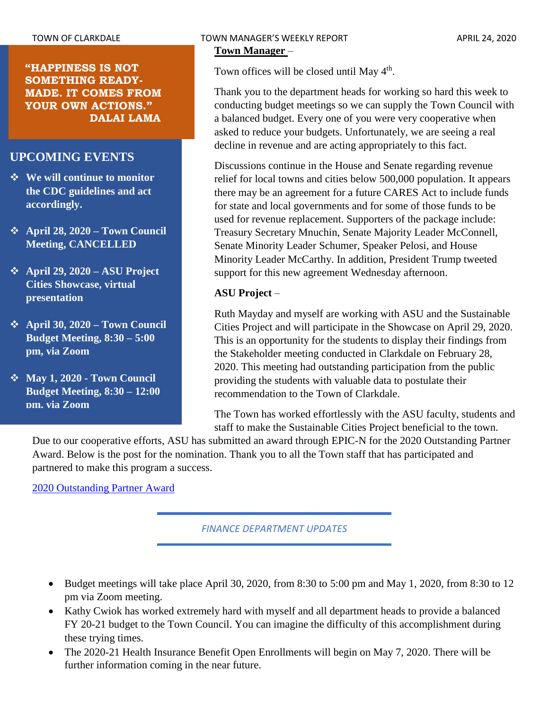**"HAPPINESS IS NOT SOMETHING READY-MADE. IT COMES FROM YOUR OWN ACTIONS." DALAI LAMA**

# **UPCOMING EVENTS**

- ❖ **We will continue to monitor the CDC guidelines and act accordingly.**
- ❖ **April 28, 2020 – Town Council Meeting, CANCELLED**
- ❖ **April 29, 2020 – ASU Project Cities Showcase, virtual presentation**
- ❖ **April 30, 2020 – Town Council Budget Meeting, 8:30 – 5:00 pm, via Zoom**
- ❖ **May 1, 2020 - Town Council Budget Meeting, 8:30 – 12:00 pm, via Zoom**

Town offices will be closed until May 4<sup>th</sup>.

Thank you to the department heads for working so hard this week to conducting budget meetings so we can supply the Town Council with a balanced budget. Every one of you were very cooperative when asked to reduce your budgets. Unfortunately, we are seeing a real decline in revenue and are acting appropriately to this fact.

Discussions continue in the House and Senate regarding revenue relief for local towns and cities below 500,000 population. It appears there may be an agreement for a future CARES Act to include funds for state and local governments and for some of those funds to be used for revenue replacement. Supporters of the package include: Treasury Secretary Mnuchin, Senate Majority Leader McConnell, Senate Minority Leader Schumer, Speaker Pelosi, and House Minority Leader McCarthy. In addition, President Trump tweeted support for this new agreement Wednesday afternoon.

# **ASU Project** –

Ruth Mayday and myself are working with ASU and the Sustainable Cities Project and will participate in the Showcase on April 29, 2020. This is an opportunity for the students to display their findings from the Stakeholder meeting conducted in Clarkdale on February 28, 2020. This meeting had outstanding participation from the public providing the students with valuable data to postulate their recommendation to the Town of Clarkdale.

The Town has worked effortlessly with the ASU faculty, students and staff to make the Sustainable Cities Project beneficial to the town.

Due to our cooperative efforts, ASU has submitted an award through EPIC-N for the 2020 Outstanding Partner Award. Below is the post for the nomination. Thank you to all the Town staff that has participated and partnered to make this program a success.

[2020 Outstanding Partner Award](https://www.epicn.org/2020/04/16/town-of-clarkdale-az-2020-outstanding-community-partner-award-finalist/)

*FINANCE DEPARTMENT UPDATES*

- Budget meetings will take place April 30, 2020, from 8:30 to 5:00 pm and May 1, 2020, from 8:30 to 12 pm via Zoom meeting.
- Kathy Cwiok has worked extremely hard with myself and all department heads to provide a balanced FY 20-21 budget to the Town Council. You can imagine the difficulty of this accomplishment during these trying times.
- The 2020-21 Health Insurance Benefit Open Enrollments will begin on May 7, 2020. There will be further information coming in the near future.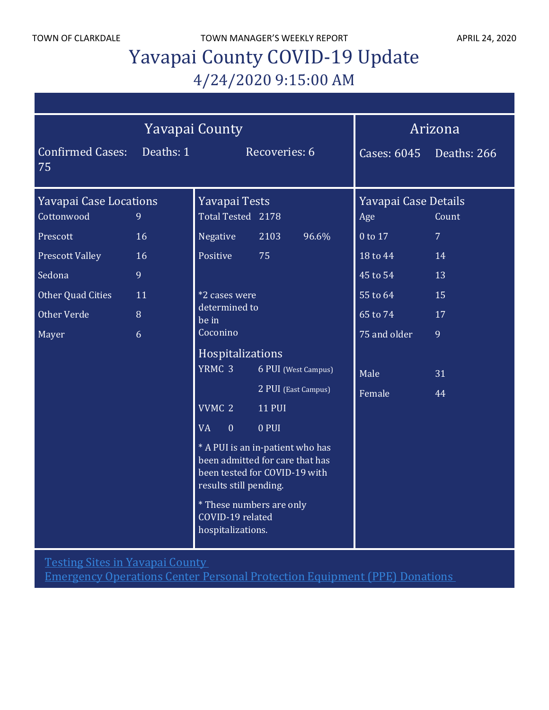TOWN OF CLARKDALE TOWN MANAGER'S WEEKLY REPORT APRIL 24, 2020

# Yavapai County COVID-19 Update 4/24/2020 9:15:00 AM

| <b>Yavapai County</b>         |                  |                                                                                                    |                                                                                                      | Arizona                 |                |
|-------------------------------|------------------|----------------------------------------------------------------------------------------------------|------------------------------------------------------------------------------------------------------|-------------------------|----------------|
| <b>Confirmed Cases:</b><br>75 | Deaths: 1        |                                                                                                    | Recoveries: 6                                                                                        | Cases: 6045 Deaths: 266 |                |
| <b>Yavapai Case Locations</b> |                  | Yavapai Tests                                                                                      |                                                                                                      | Yavapai Case Details    |                |
| Cottonwood                    | 9                | Total Tested 2178                                                                                  |                                                                                                      | Age                     | Count          |
| Prescott                      | 16               | Negative                                                                                           | 2103<br>96.6%                                                                                        | 0 to 17                 | 7 <sup>1</sup> |
| <b>Prescott Valley</b>        | 16               | Positive                                                                                           | 75                                                                                                   | 18 to 44                | 14             |
| Sedona                        | 9                |                                                                                                    |                                                                                                      | 45 to 54                | 13             |
| Other Quad Cities             | 11               | *2 cases were<br>determined to<br>be in<br>Coconino                                                |                                                                                                      | $55$ to $64$            | 15             |
| Other Verde                   | 8                |                                                                                                    |                                                                                                      | 65 to 74                | 17             |
| Mayer                         | 6                |                                                                                                    |                                                                                                      | 75 and older            | 9              |
|                               | Hospitalizations |                                                                                                    |                                                                                                      |                         |                |
|                               |                  | YRMC 3                                                                                             | 6 PUI (West Campus)                                                                                  | Male                    | 31             |
|                               |                  |                                                                                                    | 2 PUI (East Campus)                                                                                  | Female                  | 44             |
|                               |                  | VVMC <sub>2</sub>                                                                                  | <b>11 PUI</b>                                                                                        |                         |                |
|                               |                  | <b>VA</b><br>$\mathbf{0}$                                                                          | 0 PUI                                                                                                |                         |                |
|                               |                  | results still pending.<br><i>*</i> These numbers are only<br>COVID-19 related<br>hospitalizations. | * A PUI is an in-patient who has<br>been admitted for care that has<br>been tested for COVID-19 with |                         |                |

Testing Sites in [Yavapai](http://www.yavapai.us/Portals/39/Testing%20Sites%20in%20Yavapai%20County.pdf) County

[Emergency](http://www.yavapai.us/Portals/39/PPE%20Donations.pdf) Operations Center Personal Protection Equipment (PPE) Donations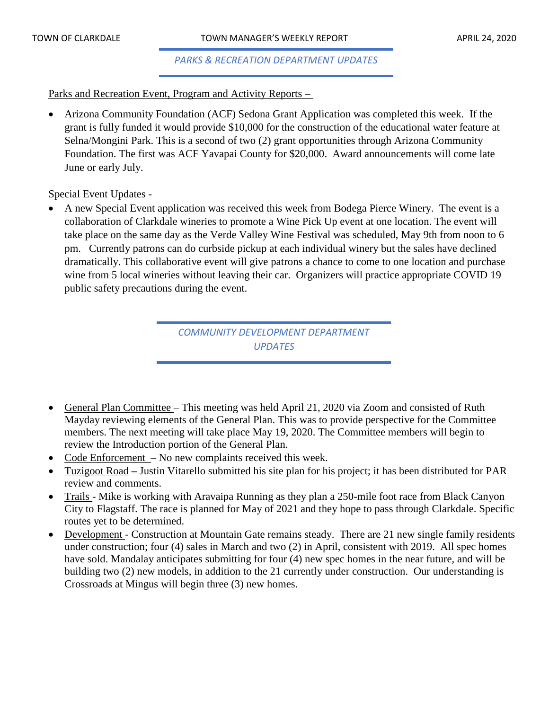## *PARKS & RECREATION DEPARTMENT UPDATES*

## Parks and Recreation Event, Program and Activity Reports –

• Arizona Community Foundation (ACF) Sedona Grant Application was completed this week. If the grant is fully funded it would provide \$10,000 for the construction of the educational water feature at Selna/Mongini Park. This is a second of two (2) grant opportunities through Arizona Community Foundation. The first was ACF Yavapai County for \$20,000. Award announcements will come late June or early July.

## Special Event Updates -

• A new Special Event application was received this week from Bodega Pierce Winery. The event is a collaboration of Clarkdale wineries to promote a Wine Pick Up event at one location. The event will take place on the same day as the Verde Valley Wine Festival was scheduled, May 9th from noon to 6 pm. Currently patrons can do curbside pickup at each individual winery but the sales have declined dramatically. This collaborative event will give patrons a chance to come to one location and purchase wine from 5 local wineries without leaving their car. Organizers will practice appropriate COVID 19 public safety precautions during the event.

> *COMMUNITY DEVELOPMENT DEPARTMENT UPDATES*

- General Plan Committee This meeting was held April 21, 2020 via Zoom and consisted of Ruth Mayday reviewing elements of the General Plan. This was to provide perspective for the Committee members. The next meeting will take place May 19, 2020. The Committee members will begin to review the Introduction portion of the General Plan.
- Code Enforcement No new complaints received this week.
- Tuzigoot Road **–** Justin Vitarello submitted his site plan for his project; it has been distributed for PAR review and comments.
- Trails Mike is working with Aravaipa Running as they plan a 250-mile foot race from Black Canyon City to Flagstaff. The race is planned for May of 2021 and they hope to pass through Clarkdale. Specific routes yet to be determined.
- Development Construction at Mountain Gate remains steady. There are 21 new single family residents under construction; four (4) sales in March and two (2) in April, consistent with 2019. All spec homes have sold. Mandalay anticipates submitting for four (4) new spec homes in the near future, and will be building two (2) new models, in addition to the 21 currently under construction. Our understanding is Crossroads at Mingus will begin three (3) new homes.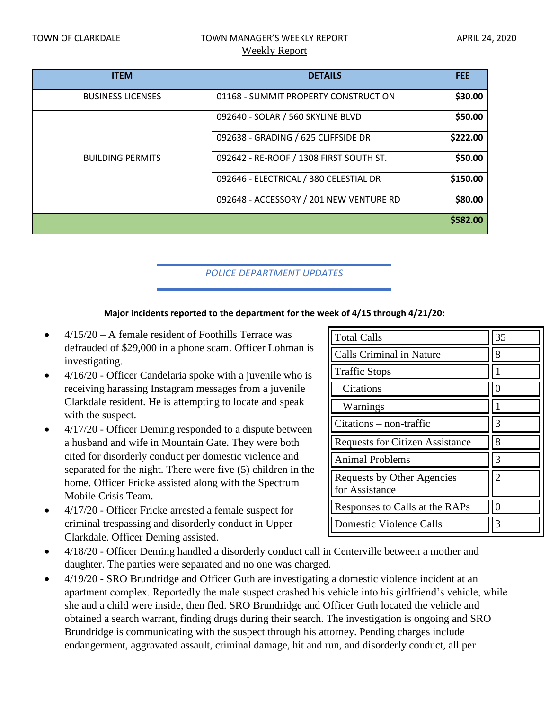# TOWN OF CLARKDALE TOWN MANAGER'S WEEKLY REPORT TOWN OF CLARKDALE Weekly Report

|                                         | <b>FEE</b>     |
|-----------------------------------------|----------------|
| 01168 - SUMMIT PROPERTY CONSTRUCTION    | \$30.00        |
| 092640 - SOLAR / 560 SKYLINE BLVD       | \$50.00        |
| 092638 - GRADING / 625 CLIFFSIDE DR     | \$222.00       |
| 092642 - RE-ROOF / 1308 FIRST SOUTH ST. | \$50.00        |
| 092646 - ELECTRICAL / 380 CELESTIAL DR  | \$150.00       |
| 092648 - ACCESSORY / 201 NEW VENTURE RD | \$80.00        |
|                                         | \$582.00       |
|                                         | <b>DETAILS</b> |

# *POLICE DEPARTMENT UPDATES*

#### **Major incidents reported to the department for the week of 4/15 through 4/21/20:**

- $4/15/20 A$  female resident of Foothills Terrace was defrauded of \$29,000 in a phone scam. Officer Lohman is investigating.
- 4/16/20 Officer Candelaria spoke with a juvenile who is receiving harassing Instagram messages from a juvenile Clarkdale resident. He is attempting to locate and speak with the suspect.
- 4/17/20 Officer Deming responded to a dispute between a husband and wife in Mountain Gate. They were both cited for disorderly conduct per domestic violence and separated for the night. There were five (5) children in the home. Officer Fricke assisted along with the Spectrum Mobile Crisis Team.
- 4/17/20 Officer Fricke arrested a female suspect for criminal trespassing and disorderly conduct in Upper Clarkdale. Officer Deming assisted.
- 4/18/20 Officer Deming handled a disorderly conduct call in Centerville between a mother and daughter. The parties were separated and no one was charged.
- 4/19/20 SRO Brundridge and Officer Guth are investigating a domestic violence incident at an apartment complex. Reportedly the male suspect crashed his vehicle into his girlfriend's vehicle, while she and a child were inside, then fled. SRO Brundridge and Officer Guth located the vehicle and obtained a search warrant, finding drugs during their search. The investigation is ongoing and SRO Brundridge is communicating with the suspect through his attorney. Pending charges include endangerment, aggravated assault, criminal damage, hit and run, and disorderly conduct, all per

| <b>Total Calls</b>                           | 35 |
|----------------------------------------------|----|
| <b>Calls Criminal in Nature</b>              | 8  |
| <b>Traffic Stops</b>                         |    |
| Citations                                    | 0  |
| Warnings                                     |    |
| Citations – non-traffic                      | 3  |
| <b>Requests for Citizen Assistance</b>       | 8  |
| <b>Animal Problems</b>                       | 3  |
| Requests by Other Agencies<br>for Assistance | 2  |
| Responses to Calls at the RAPs               |    |
| <b>Domestic Violence Calls</b>               | 3  |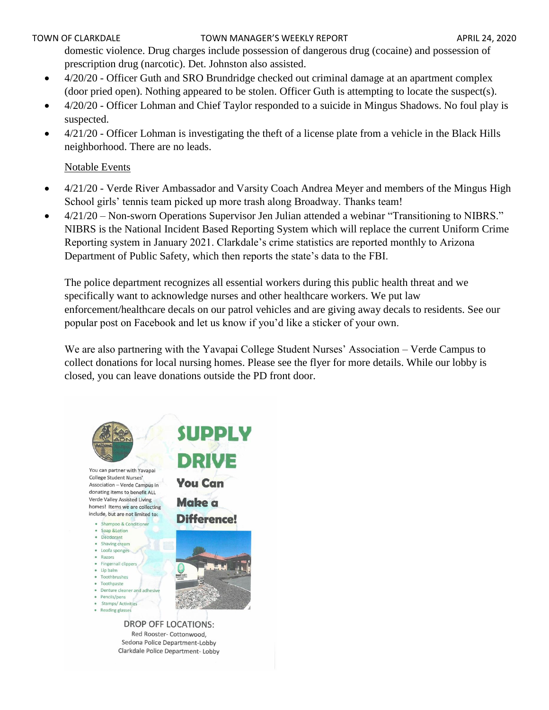## TOWN OF CLARKDALE TOWN MANAGER'S WEEKLY REPORT TOWN OF CLARKDALE

domestic violence. Drug charges include possession of dangerous drug (cocaine) and possession of prescription drug (narcotic). Det. Johnston also assisted.

- 4/20/20 Officer Guth and SRO Brundridge checked out criminal damage at an apartment complex (door pried open). Nothing appeared to be stolen. Officer Guth is attempting to locate the suspect(s).
- 4/20/20 Officer Lohman and Chief Taylor responded to a suicide in Mingus Shadows. No foul play is suspected.
- 4/21/20 Officer Lohman is investigating the theft of a license plate from a vehicle in the Black Hills neighborhood. There are no leads.

# Notable Events

- 4/21/20 Verde River Ambassador and Varsity Coach Andrea Meyer and members of the Mingus High School girls' tennis team picked up more trash along Broadway. Thanks team!
- 4/21/20 Non-sworn Operations Supervisor Jen Julian attended a webinar "Transitioning to NIBRS." NIBRS is the National Incident Based Reporting System which will replace the current Uniform Crime Reporting system in January 2021. Clarkdale's crime statistics are reported monthly to Arizona Department of Public Safety, which then reports the state's data to the FBI.

The police department recognizes all essential workers during this public health threat and we specifically want to acknowledge nurses and other healthcare workers. We put law enforcement/healthcare decals on our patrol vehicles and are giving away decals to residents. See our popular post on Facebook and let us know if you'd like a sticker of your own.

We are also partnering with the Yavapai College Student Nurses' Association – Verde Campus to collect donations for local nursing homes. Please see the flyer for more details. While our lobby is closed, you can leave donations outside the PD front door.